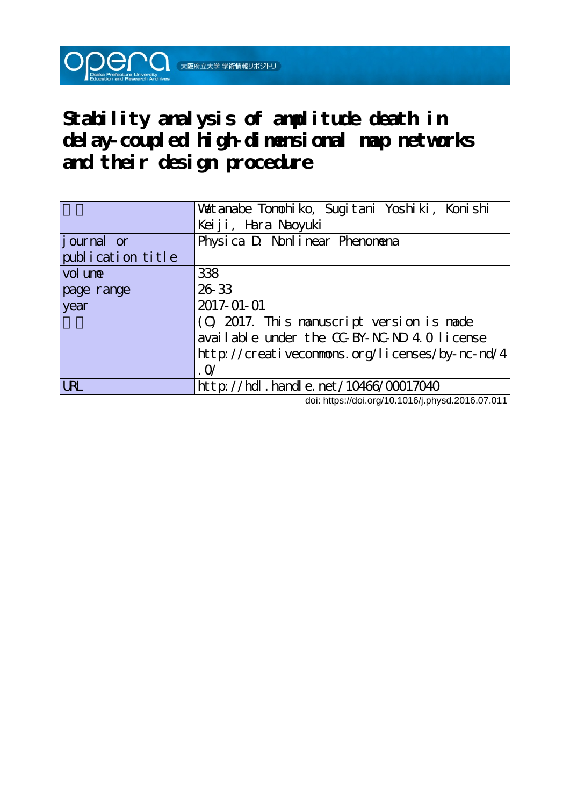**Stability analysis of amplitude death in delay-coupled high-dimensional map networks and their design procedure**

 $\mathsf{O}\mathsf{O}\mathsf{C}\mathsf{O}$  (  $\mathsf{O}$  )  $\mathsf{O}$  (  $\mathsf{O}$  )  $\mathsf{O}$  )  $\mathsf{O}$ 

|                   | Valtanabe Tonohiko, Sugitani Yoshiki, Konishi  |
|-------------------|------------------------------------------------|
|                   | Keiji, Hara Naoyuki                            |
| journal or        | Physica D Nonlinear Phenomena                  |
| publication title |                                                |
| vol une           | 338                                            |
| page range        | 26 33                                          |
| year              | 2017-01-01                                     |
|                   | (C) 2017. This nanuscript version is nade      |
|                   | available under the CC-BY-NC-ND 4.0 license    |
|                   | http://creativeconmons.org/licenses/by-nc-nd/4 |
|                   | $\Omega$                                       |
| <b>URL</b>        | $http: // hdl. handle. net / 10466/00017040$   |

doi: https://doi.org/10.1016/j.physd.2016.07.011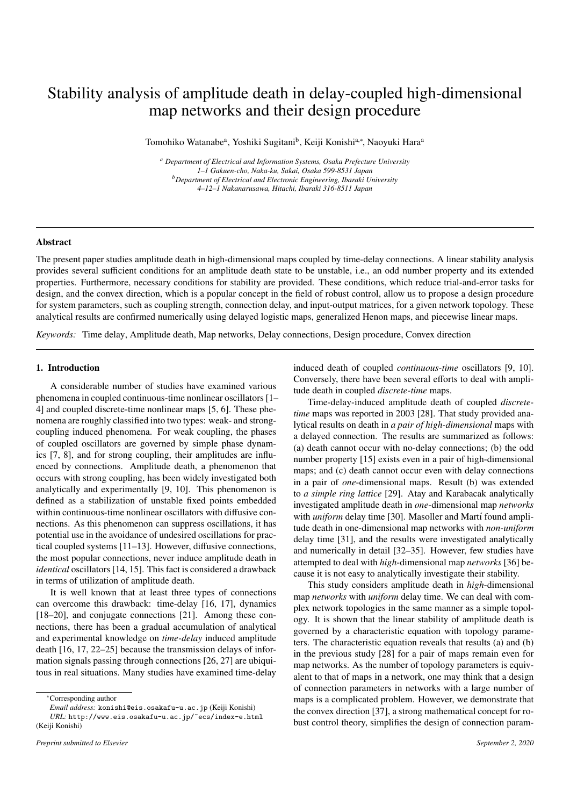# Stability analysis of amplitude death in delay-coupled high-dimensional map networks and their design procedure

Tomohiko Watanabe<sup>a</sup>, Yoshiki Sugitani<sup>b</sup>, Keiji Konishi<sup>a,∗</sup>, Naoyuki Hara<sup>a</sup>

*<sup>a</sup> Department of Electrical and Information Systems, Osaka Prefecture University 1–1 Gakuen-cho, Naka-ku, Sakai, Osaka 599-8531 Japan <sup>b</sup>Department of Electrical and Electronic Engineering, Ibaraki University 4–12–1 Nakanarusawa, Hitachi, Ibaraki 316-8511 Japan*

## Abstract

The present paper studies amplitude death in high-dimensional maps coupled by time-delay connections. A linear stability analysis provides several sufficient conditions for an amplitude death state to be unstable, i.e., an odd number property and its extended properties. Furthermore, necessary conditions for stability are provided. These conditions, which reduce trial-and-error tasks for design, and the convex direction, which is a popular concept in the field of robust control, allow us to propose a design procedure for system parameters, such as coupling strength, connection delay, and input-output matrices, for a given network topology. These analytical results are confirmed numerically using delayed logistic maps, generalized Henon maps, and piecewise linear maps.

*Keywords:* Time delay, Amplitude death, Map networks, Delay connections, Design procedure, Convex direction

# 1. Introduction

A considerable number of studies have examined various phenomena in coupled continuous-time nonlinear oscillators [1– 4] and coupled discrete-time nonlinear maps [5, 6]. These phenomena are roughly classified into two types: weak- and strongcoupling induced phenomena. For weak coupling, the phases of coupled oscillators are governed by simple phase dynamics [7, 8], and for strong coupling, their amplitudes are influenced by connections. Amplitude death, a phenomenon that occurs with strong coupling, has been widely investigated both analytically and experimentally [9, 10]. This phenomenon is defined as a stabilization of unstable fixed points embedded within continuous-time nonlinear oscillators with diffusive connections. As this phenomenon can suppress oscillations, it has potential use in the avoidance of undesired oscillations for practical coupled systems [11–13]. However, diffusive connections, the most popular connections, never induce amplitude death in *identical* oscillators [14, 15]. This fact is considered a drawback in terms of utilization of amplitude death.

It is well known that at least three types of connections can overcome this drawback: time-delay [16, 17], dynamics [18–20], and conjugate connections [21]. Among these connections, there has been a gradual accumulation of analytical and experimental knowledge on *time-delay* induced amplitude death [16, 17, 22–25] because the transmission delays of information signals passing through connections [26, 27] are ubiquitous in real situations. Many studies have examined time-delay

induced death of coupled *continuous-time* oscillators [9, 10]. Conversely, there have been several efforts to deal with amplitude death in coupled *discrete-time* maps.

Time-delay-induced amplitude death of coupled *discretetime* maps was reported in 2003 [28]. That study provided analytical results on death in *a pair of high-dimensional* maps with a delayed connection. The results are summarized as follows: (a) death cannot occur with no-delay connections; (b) the odd number property [15] exists even in a pair of high-dimensional maps; and (c) death cannot occur even with delay connections in a pair of *one*-dimensional maps. Result (b) was extended to *a simple ring lattice* [29]. Atay and Karabacak analytically investigated amplitude death in *one*-dimensional map *networks* with *uniform* delay time [30]. Masoller and Martí found amplitude death in one-dimensional map networks with *non-uniform* delay time [31], and the results were investigated analytically and numerically in detail [32–35]. However, few studies have attempted to deal with *high*-dimensional map *networks* [36] because it is not easy to analytically investigate their stability.

This study considers amplitude death in *high*-dimensional map *networks* with *uniform* delay time. We can deal with complex network topologies in the same manner as a simple topology. It is shown that the linear stability of amplitude death is governed by a characteristic equation with topology parameters. The characteristic equation reveals that results (a) and (b) in the previous study [28] for a pair of maps remain even for map networks. As the number of topology parameters is equivalent to that of maps in a network, one may think that a design of connection parameters in networks with a large number of maps is a complicated problem. However, we demonstrate that the convex direction [37], a strong mathematical concept for robust control theory, simplifies the design of connection param-

<sup>∗</sup>Corresponding author

*Email address:* konishi@eis.osakafu-u.ac.jp (Keiji Konishi) *URL:* http://www.eis.osakafu-u.ac.jp/~ecs/index-e.html (Keiji Konishi)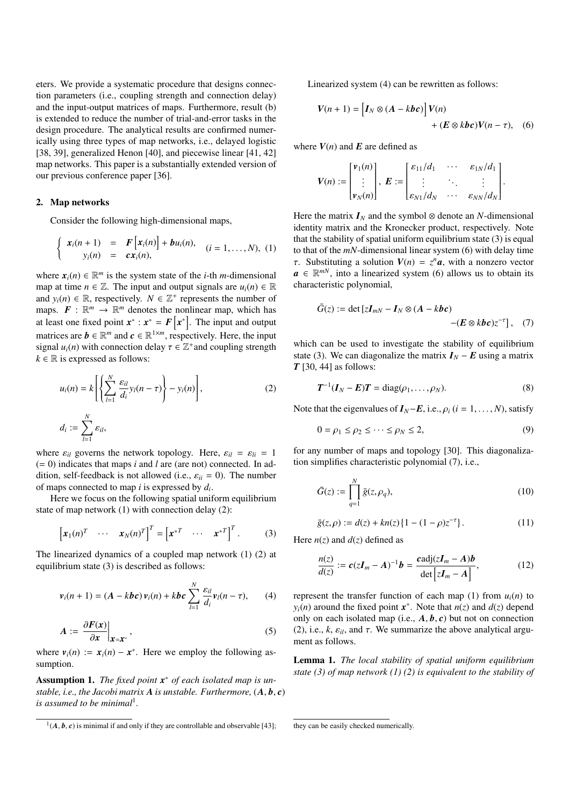eters. We provide a systematic procedure that designs connection parameters (i.e., coupling strength and connection delay) and the input-output matrices of maps. Furthermore, result (b) is extended to reduce the number of trial-and-error tasks in the design procedure. The analytical results are confirmed numerically using three types of map networks, i.e., delayed logistic [38, 39], generalized Henon [40], and piecewise linear [41, 42] map networks. This paper is a substantially extended version of our previous conference paper [36].

#### 2. Map networks

Consider the following high-dimensional maps,

$$
\begin{cases}\n x_i(n+1) & = & F\big[x_i(n)\big] + bu_i(n), \\
y_i(n) & = & cx_i(n),\n\end{cases}\n(i = 1, ..., N), (1)
$$

where  $x_i(n) \in \mathbb{R}^m$  is the system state of the *i*-th *m*-dimensional map at time  $n \in \mathbb{Z}$ . The input and output signals are  $u_i(n) \in \mathbb{R}$ and  $y_i(n) \in \mathbb{R}$ , respectively.  $N \in \mathbb{Z}^+$  represents the number of maps.  $F: \mathbb{R}^m \to \mathbb{R}^m$  denotes the nonlinear map, which has at least one fixed point  $x^*$  :  $x^* = F[x^*]$ . The input and output matrices are  $\mathbf{b} \in \mathbb{R}^m$  and  $\mathbf{c} \in \mathbb{R}^{1 \times m}$ , respectively. Here, the input signal  $u_i(n)$  with connection delay  $\tau \in \mathbb{Z}^+$  and coupling strength  $k \in \mathbb{R}$  is expressed as follows:

$$
u_i(n) = k \left[ \left\{ \sum_{l=1}^N \frac{\varepsilon_{il}}{d_i} y_l(n-\tau) \right\} - y_i(n) \right],
$$
\n
$$
d_i := \sum_{l=1}^N \varepsilon_{il},
$$
\n(2)

*l*=1 where  $\varepsilon_{il}$  governs the network topology. Here,  $\varepsilon_{il} = \varepsilon_{li} = 1$ (= 0) indicates that maps *i* and *l* are (are not) connected. In addition, self-feedback is not allowed (i.e.,  $\varepsilon_{ii} = 0$ ). The number of maps connected to map *i* is expressed by *d<sup>i</sup>* .

Here we focus on the following spatial uniform equilibrium state of map network (1) with connection delay (2):

$$
\begin{bmatrix} \boldsymbol{x}_1(n)^T & \cdots & \boldsymbol{x}_N(n)^T \end{bmatrix}^T = \begin{bmatrix} \boldsymbol{x}^{*T} & \cdots & \boldsymbol{x}^{*T} \end{bmatrix}^T. \tag{3}
$$

The linearized dynamics of a coupled map network (1) (2) at equilibrium state (3) is described as follows:

$$
\mathbf{v}_i(n+1) = (A - kbc)\,\mathbf{v}_i(n) + kbc\,\sum_{l=1}^N\frac{\varepsilon_{il}}{d_i}\mathbf{v}_l(n-\tau),\qquad(4)
$$

$$
A := \frac{\partial F(x)}{\partial x}\Big|_{x=x^*},\tag{5}
$$

where  $v_i(n) := x_i(n) - x^*$ . Here we employ the following assumption.

Assumption 1. *The fixed point x* <sup>∗</sup> *of each isolated map is unstable, i.e., the Jacobi matrix*  $\bf{A}$  *is unstable. Furthermore,*  $(\bf{A}, \bf{b}, \bf{c})$ *is assumed to be minimal*<sup>1</sup> *.*

Linearized system (4) can be rewritten as follows:

$$
V(n + 1) = [I_N \otimes (A - kbc)]V(n)
$$
  
+  $(E \otimes kbc)V(n - \tau)$ , (6)

where  $V(n)$  and  $E$  are defined as

$$
V(n) := \begin{bmatrix} v_1(n) \\ \vdots \\ v_N(n) \end{bmatrix}, \ E := \begin{bmatrix} \varepsilon_{11}/d_1 & \cdots & \varepsilon_{1N}/d_1 \\ \vdots & \ddots & \vdots \\ \varepsilon_{N1}/d_N & \cdots & \varepsilon_{NN}/d_N \end{bmatrix}.
$$

Here the matrix  $I_N$  and the symbol  $\otimes$  denote an *N*-dimensional identity matrix and the Kronecker product, respectively. Note that the stability of spatial uniform equilibrium state (3) is equal to that of the *mN*-dimensional linear system (6) with delay time *τ*. Substituting a solution  $V(n) = z^n a$ , with a nonzero vector  $a \in \mathbb{R}^{mN}$ , into a linearized system (6) allows us to obtain its characteristic polynomial,

$$
\bar{G}(z) := \det \left[ z \bm{I}_{mN} - \bm{I}_N \otimes (\bm{A} - k \bm{b} \bm{c}) \right] - (E \otimes k \bm{b} \bm{c}) z^{-\tau} \}, \quad (7)
$$

which can be used to investigate the stability of equilibrium state (3). We can diagonalize the matrix  $I_N - E$  using a matrix *T* [30, 44] as follows:

$$
T^{-1}(I_N - E)T = \text{diag}(\rho_1, \dots, \rho_N). \tag{8}
$$

Note that the eigenvalues of  $I_N$ − $E$ , i.e.,  $\rho_i$  ( $i = 1, \ldots, N$ ), satisfy

$$
0 = \rho_1 \le \rho_2 \le \dots \le \rho_N \le 2,\tag{9}
$$

for any number of maps and topology [30]. This diagonalization simplifies characteristic polynomial (7), i.e.,

$$
\bar{G}(z) := \prod_{q=1}^{N} \bar{g}(z, \rho_q),\tag{10}
$$

$$
\bar{g}(z,\rho) := d(z) + kn(z) \{ 1 - (1 - \rho) z^{-\tau} \}. \tag{11}
$$

Here  $n(z)$  and  $d(z)$  defined as

$$
\frac{n(z)}{d(z)} := \mathbf{c}(z\mathbf{I}_m - \mathbf{A})^{-1}\mathbf{b} = \frac{\mathbf{c}\text{adj}(z\mathbf{I}_m - \mathbf{A})\mathbf{b}}{\det\left[z\mathbf{I}_m - \mathbf{A}\right]},
$$
\n(12)

represent the transfer function of each map (1) from  $u_i(n)$  to *y*<sub>*i*</sub>(*n*) around the fixed point  $x^*$ . Note that *n*(*z*) and *d*(*z*) depend only on each isolated map (i.e., *A*, *b*, *c*) but not on connection (2), i.e.,  $k$ ,  $\varepsilon_{il}$ , and  $\tau$ . We summarize the above analytical argument as follows.

Lemma 1. *The local stability of spatial uniform equilibrium state (3) of map network (1) (2) is equivalent to the stability of*

 $(1(A, b, c))$  is minimal if and only if they are controllable and observable [43];

they can be easily checked numerically.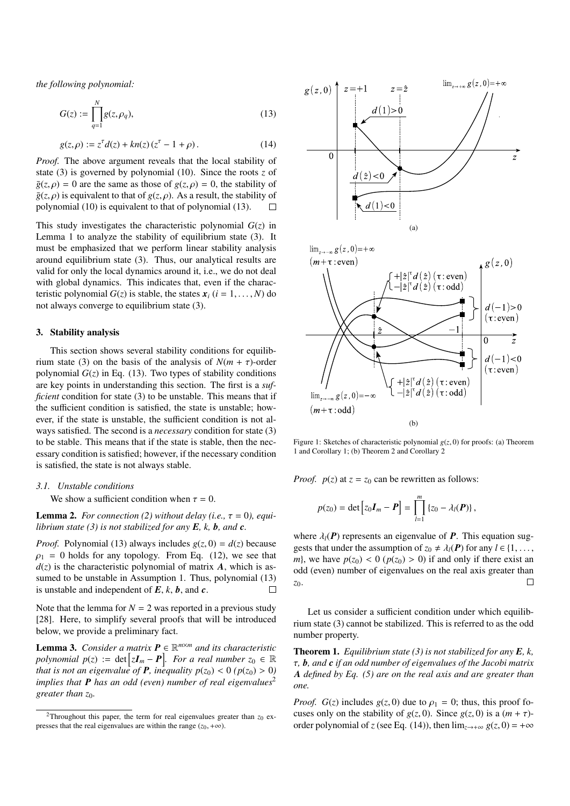*the following polynomial:*

$$
G(z) := \prod_{q=1}^{N} g(z, \rho_q),
$$
 (13)

$$
g(z,\rho) := z^{\tau} d(z) + kn(z) (z^{\tau} - 1 + \rho).
$$
 (14)

*Proof.* The above argument reveals that the local stability of state (3) is governed by polynomial (10). Since the roots *z* of  $\overline{g}(z,\rho) = 0$  are the same as those of  $g(z,\rho) = 0$ , the stability of  $\overline{g}(z, \rho)$  is equivalent to that of  $g(z, \rho)$ . As a result, the stability of polynomial (10) is equivalent to that of polynomial (13).  $\Box$ 

This study investigates the characteristic polynomial  $G(z)$  in Lemma 1 to analyze the stability of equilibrium state (3). It must be emphasized that we perform linear stability analysis around equilibrium state (3). Thus, our analytical results are valid for only the local dynamics around it, i.e., we do not deal with global dynamics. This indicates that, even if the characteristic polynomial  $G(z)$  is stable, the states  $x_i$  ( $i = 1, ..., N$ ) do not always converge to equilibrium state (3).

## 3. Stability analysis

This section shows several stability conditions for equilibrium state (3) on the basis of the analysis of  $N(m + \tau)$ -order polynomial  $G(z)$  in Eq. (13). Two types of stability conditions are key points in understanding this section. The first is a *sufficient* condition for state (3) to be unstable. This means that if the sufficient condition is satisfied, the state is unstable; however, if the state is unstable, the sufficient condition is not always satisfied. The second is a *necessary* condition for state (3) to be stable. This means that if the state is stable, then the necessary condition is satisfied; however, if the necessary condition is satisfied, the state is not always stable.

# *3.1. Unstable conditions*

We show a sufficient condition when  $\tau = 0$ .

**Lemma 2.** *For connection* (2) without delay (i.e.,  $\tau = 0$ ), equi*librium state (3) is not stabilized for any E, k, b, and c.*

*Proof.* Polynomial (13) always includes  $g(z, 0) = d(z)$  because  $\rho_1 = 0$  holds for any topology. From Eq. (12), we see that  $d(z)$  is the characteristic polynomial of matrix  $\vec{A}$ , which is assumed to be unstable in Assumption 1. Thus, polynomial  $(13)$ is unstable and independent of  $E$ ,  $k$ ,  $b$ , and  $c$ .  $\Box$ 

Note that the lemma for  $N = 2$  was reported in a previous study [28]. Here, to simplify several proofs that will be introduced below, we provide a preliminary fact.

Lemma 3. *Consider a matrix P* ∈ R *<sup>m</sup>*×*<sup>m</sup> and its characteristic*  $polynomial$   $p(z) := det \left[ z \boldsymbol{I}_m - \boldsymbol{P} \right]$ *. For a real number*  $z_0 \in \mathbb{R}$ *that is not an eigenvalue of P, inequality*  $p(z_0) < 0$  *(* $p(z_0) > 0$ *) implies that* **P** *has an odd (even) number of real eigenvalues*<sup>2</sup> *greater than z*0*.*



Figure 1: Sketches of characteristic polynomial  $g(z, 0)$  for proofs: (a) Theorem 1 and Corollary 1; (b) Theorem 2 and Corollary 2

*Proof.*  $p(z)$  at  $z = z_0$  can be rewritten as follows:

$$
p(z_0) = \det [z_0 I_m - P] = \prod_{l=1}^m \{z_0 - \lambda_l(P)\},
$$

where  $\lambda_l(P)$  represents an eigenvalue of **P**. This equation suggests that under the assumption of  $z_0 \neq \lambda_l(\mathbf{P})$  for any  $l \in \{1, \ldots,$ *m*}, we have  $p(z_0) < 0$  ( $p(z_0) > 0$ ) if and only if there exist an odd (even) number of eigenvalues on the real axis greater than *z*0.  $\Box$ 

Let us consider a sufficient condition under which equilibrium state (3) cannot be stabilized. This is referred to as the odd number property.

Theorem 1. *Equilibrium state (3) is not stabilized for any E, k,* τ*, b, and c if an odd number of eigenvalues of the Jacobi matrix A defined by Eq. (5) are on the real axis and are greater than one.*

*Proof.*  $G(z)$  includes  $g(z, 0)$  due to  $\rho_1 = 0$ ; thus, this proof focuses only on the stability of  $g(z, 0)$ . Since  $g(z, 0)$  is a  $(m + \tau)$ order polynomial of *z* (see Eq. (14)), then  $\lim_{z\to+\infty} g(z, 0) = +\infty$ 

<sup>&</sup>lt;sup>2</sup>Throughout this paper, the term for real eigenvalues greater than  $z_0$  expresses that the real eigenvalues are within the range  $(z_0, +\infty)$ .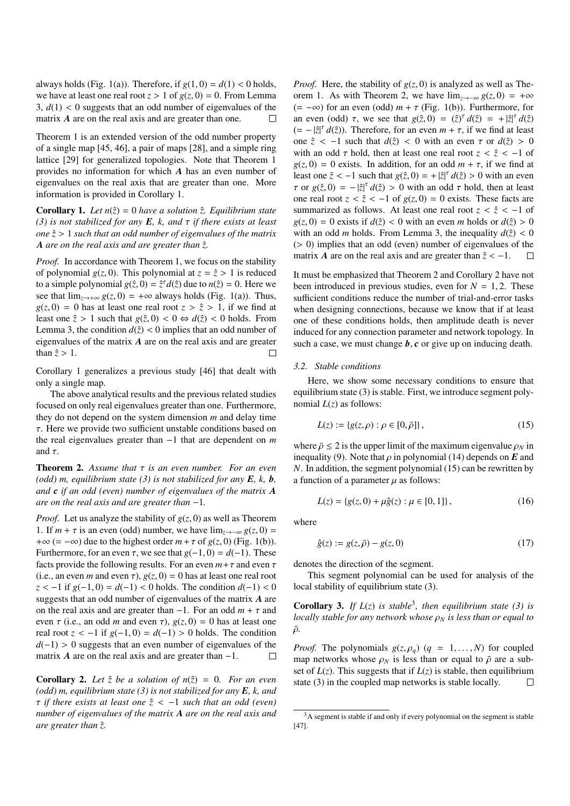always holds (Fig. 1(a)). Therefore, if  $g(1, 0) = d(1) < 0$  holds, we have at least one real root  $z > 1$  of  $g(z, 0) = 0$ . From Lemma  $3, d(1) < 0$  suggests that an odd number of eigenvalues of the matrix *A* are on the real axis and are greater than one.  $\Box$ 

Theorem 1 is an extended version of the odd number property of a single map [45, 46], a pair of maps [28], and a simple ring lattice [29] for generalized topologies. Note that Theorem 1 provides no information for which *A* has an even number of eigenvalues on the real axis that are greater than one. More information is provided in Corollary 1.

**Corollary 1.** Let  $n(\hat{z}) = 0$  have a solution  $\hat{z}$ . Equilibrium state *(3) is not stabilized for any E, k, and* τ *if there exists at least one z*ˆ > 1 *such that an odd number of eigenvalues of the matrix A are on the real axis and are greater than z.*ˆ

*Proof.* In accordance with Theorem 1, we focus on the stability of polynomial  $g(z, 0)$ . This polynomial at  $z = \hat{z} > 1$  is reduced to a simple polynomial  $g(\hat{z}, 0) = \hat{z}^T d(\hat{z})$  due to  $n(\hat{z}) = 0$ . Here we see that  $\lim_{z\to+\infty} g(z,0) = +\infty$  always holds (Fig. 1(a)). Thus,  $g(z, 0) = 0$  has at least one real root  $z > \hat{z} > 1$ , if we find at least one  $\hat{z} > 1$  such that  $g(\hat{z}, 0) < 0 \Leftrightarrow d(\hat{z}) < 0$  holds. From Lemma 3, the condition  $d(\hat{z}) < 0$  implies that an odd number of eigenvalues of the matrix *A* are on the real axis and are greater than  $\hat{z} > 1$ .  $\Box$ 

Corollary 1 generalizes a previous study [46] that dealt with only a single map.

The above analytical results and the previous related studies focused on only real eigenvalues greater than one. Furthermore, they do not depend on the system dimension *m* and delay time τ. Here we provide two sufficient unstable conditions based on the real eigenvalues greater than −1 that are dependent on *m* and  $\tau$ .

Theorem 2. *Assume that* τ *is an even number. For an even (odd) m, equilibrium state (3) is not stabilized for any E, k, b, and c if an odd (even) number of eigenvalues of the matrix A are on the real axis and are greater than* −1*.*

*Proof.* Let us analyze the stability of  $g(z, 0)$  as well as Theorem 1. If  $m + \tau$  is an even (odd) number, we have  $\lim_{z \to -\infty} g(z, 0) =$ + $\infty$  (= - $\infty$ ) due to the highest order  $m + \tau$  of  $g(z, 0)$  (Fig. 1(b)). Furthermore, for an even  $\tau$ , we see that  $g(-1, 0) = d(-1)$ . These facts provide the following results. For an even  $m + \tau$  and even  $\tau$ (i.e., an even *m* and even  $\tau$ ),  $g(z, 0) = 0$  has at least one real root *z* < −1 if *g*(−1, 0) = *d*(−1) < 0 holds. The condition *d*(−1) < 0 suggests that an odd number of eigenvalues of the matrix *A* are on the real axis and are greater than  $-1$ . For an odd  $m + \tau$  and even  $\tau$  (i.e., an odd *m* and even  $\tau$ ),  $g(z, 0) = 0$  has at least one real root  $z < -1$  if  $g(-1, 0) = d(-1) > 0$  holds. The condition *d*(−1) > 0 suggests that an even number of eigenvalues of the matrix *A* are on the real axis and are greater than  $-1$ .  $\Box$ 

**Corollary 2.** Let  $\hat{z}$  be a solution of  $n(\hat{z}) = 0$ . For an even *(odd) m, equilibrium state (3) is not stabilized for any E, k, and* τ *if there exists at least one z*ˆ < −1 *such that an odd (even) number of eigenvalues of the matrix A are on the real axis and are greater than z.*ˆ

*Proof.* Here, the stability of  $g(z, 0)$  is analyzed as well as Theorem 1. As with Theorem 2, we have  $\lim_{z\to-\infty} g(z,0) = +\infty$ (= −∞) for an even (odd) *m* + τ (Fig. 1(b)). Furthermore, for an even (odd)  $\tau$ , we see that  $g(\hat{z}, 0) = (\hat{z})^{\tau} d(\hat{z}) = + |\hat{z}|^{\tau} d(\hat{z})$  $(=-|\hat{z}|^{\tau} d(\hat{z})$ . Therefore, for an even  $m + \tau$ , if we find at least one  $\hat{z}$  < -1 such that  $d(\hat{z})$  < 0 with an even  $\tau$  or  $d(\hat{z}) > 0$ with an odd  $\tau$  hold, then at least one real root  $z < \hat{z} < -1$  of  $g(z, 0) = 0$  exists. In addition, for an odd  $m + \tau$ , if we find at least one  $\hat{z} < -1$  such that  $g(\hat{z}, 0) = + |\hat{z}|^{\tau} d(\hat{z}) > 0$  with an even  $\tau$  or  $g(\hat{z}, 0) = -|\hat{z}|^{\tau} d(\hat{z}) > 0$  with an odd  $\tau$  hold, then at least one real root  $z < \hat{z} < -1$  of  $g(z, 0) = 0$  exists. These facts are summarized as follows. At least one real root  $z < \hat{z} < -1$  of  $g(z, 0) = 0$  exists if  $d(\hat{z}) < 0$  with an even *m* holds or  $d(\hat{z}) > 0$ with an odd *m* holds. From Lemma 3, the inequality  $d(\hat{z}) < 0$ (> 0) implies that an odd (even) number of eigenvalues of the matrix *A* are on the real axis and are greater than  $\hat{z} < -1$ .  $\Box$ 

It must be emphasized that Theorem 2 and Corollary 2 have not been introduced in previous studies, even for  $N = 1, 2$ . These sufficient conditions reduce the number of trial-and-error tasks when designing connections, because we know that if at least one of these conditions holds, then amplitude death is never induced for any connection parameter and network topology. In such a case, we must change *b*, *c* or give up on inducing death.

#### *3.2. Stable conditions*

Here, we show some necessary conditions to ensure that equilibrium state (3) is stable. First, we introduce segment polynomial  $L(z)$  as follows:

$$
L(z) := \{ g(z, \rho) : \rho \in [0, \bar{\rho}] \},
$$
\n(15)

where  $\bar{\rho} \le 2$  is the upper limit of the maximum eigenvalue  $\rho_N$  in inequality (9). Note that  $\rho$  in polynomial (14) depends on  $\vec{E}$  and *N*. In addition, the segment polynomial (15) can be rewritten by a function of a parameter  $\mu$  as follows:

$$
L(z) = \{g(z, 0) + \mu \hat{g}(z) : \mu \in [0, 1]\},\tag{16}
$$

where

$$
\hat{g}(z) := g(z, \bar{\rho}) - g(z, 0) \tag{17}
$$

denotes the direction of the segment.

This segment polynomial can be used for analysis of the local stability of equilibrium state (3).

**Corollary 3.** If  $L(z)$  is stable<sup>3</sup>, then equilibrium state (3) is *locally stable for any network whose*  $ρ_N$  *is less than or equal to*  $\bar{\rho}$ .

*Proof.* The polynomials  $g(z, \rho_q)$  ( $q = 1, \ldots, N$ ) for coupled map networks whose  $\rho_N$  is less than or equal to  $\bar{\rho}$  are a subset of  $L(z)$ . This suggests that if  $L(z)$  is stable, then equilibrium state (3) in the coupled map networks is stable locally.  $\Box$ 

<sup>&</sup>lt;sup>3</sup>A segment is stable if and only if every polynomial on the segment is stable [47].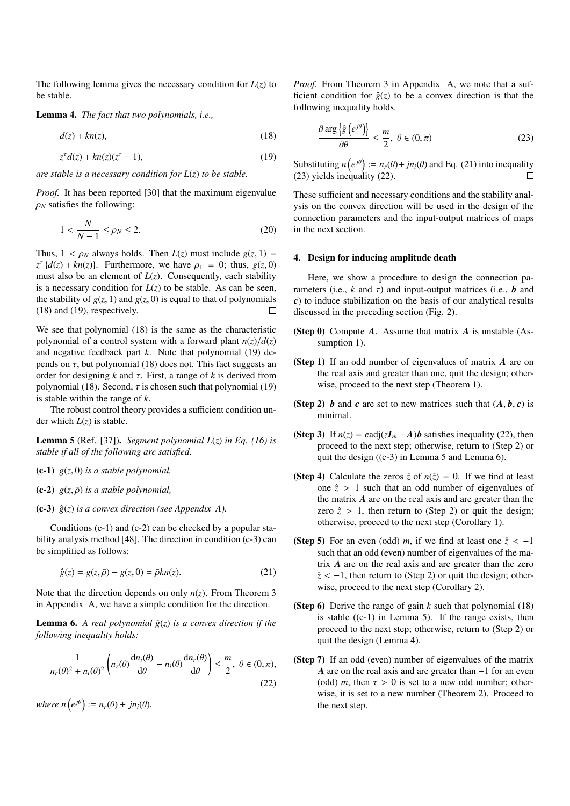The following lemma gives the necessary condition for  $L(z)$  to be stable.

Lemma 4. *The fact that two polynomials, i.e.,*

$$
d(z) + kn(z),\tag{18}
$$

$$
z^{\tau}d(z) + kn(z)(z^{\tau} - 1),\tag{19}
$$

*are stable is a necessary condition for L*(*z*) *to be stable.*

*Proof.* It has been reported [30] that the maximum eigenvalue  $\rho_N$  satisfies the following:

$$
1 < \frac{N}{N-1} \le \rho_N \le 2. \tag{20}
$$

Thus,  $1 < \rho_N$  always holds. Then  $L(z)$  must include  $g(z, 1) =$  $z^{\tau}$  { $d(z) + kn(z)$ }. Furthermore, we have  $\rho_1 = 0$ ; thus,  $g(z, 0)$ must also be an element of  $L(z)$ . Consequently, each stability is a necessary condition for  $L(z)$  to be stable. As can be seen, the stability of  $g(z, 1)$  and  $g(z, 0)$  is equal to that of polynomials (18) and (19), respectively.  $\Box$ 

We see that polynomial  $(18)$  is the same as the characteristic polynomial of a control system with a forward plant  $n(z)/d(z)$ and negative feedback part *k*. Note that polynomial (19) depends on  $\tau$ , but polynomial (18) does not. This fact suggests an order for designing  $k$  and  $\tau$ . First, a range of  $k$  is derived from polynomial (18). Second,  $\tau$  is chosen such that polynomial (19) is stable within the range of *k*.

The robust control theory provides a sufficient condition under which  $L(z)$  is stable.

Lemma 5 (Ref. [37]). *Segment polynomial L*(*z*) *in Eq. (16) is stable if all of the following are satisfied.*

- (c-1) *g*(*z*, 0) *is a stable polynomial,*
- $(c-2)$   $g(z, \bar{\rho})$  *is a stable polynomial*,
- (c-3)  $\hat{g}(z)$  *is a convex direction (see Appendix A).*

Conditions  $(c-1)$  and  $(c-2)$  can be checked by a popular stability analysis method [48]. The direction in condition (c-3) can be simplified as follows:

$$
\hat{g}(z) = g(z, \bar{\rho}) - g(z, 0) = \bar{\rho}kn(z).
$$
 (21)

Note that the direction depends on only *n*(*z*). From Theorem 3 in Appendix A, we have a simple condition for the direction.

**Lemma 6.** *A real polynomial*  $\hat{g}(z)$  *is a convex direction if the following inequality holds:*

$$
\frac{1}{n_r(\theta)^2 + n_i(\theta)^2} \left( n_r(\theta) \frac{d n_i(\theta)}{d\theta} - n_i(\theta) \frac{d n_r(\theta)}{d\theta} \right) \le \frac{m}{2}, \ \theta \in (0, \pi),
$$
\n(22)

*where*  $n(e^{j\theta}) := n_r(\theta) + jn_i(\theta)$ .

*Proof.* From Theorem 3 in Appendix A, we note that a sufficient condition for  $\hat{g}(z)$  to be a convex direction is that the following inequality holds.

$$
\frac{\partial \arg\left\{\hat{g}\left(e^{j\theta}\right)\right\}}{\partial \theta} \le \frac{m}{2}, \ \theta \in (0, \pi) \tag{23}
$$

Substituting  $n(e^{j\theta}) := n_r(\theta) + jn_i(\theta)$  and Eq. (21) into inequality (23) yields inequality (22).  $\Box$ 

These sufficient and necessary conditions and the stability analysis on the convex direction will be used in the design of the connection parameters and the input-output matrices of maps in the next section.

# 4. Design for inducing amplitude death

Here, we show a procedure to design the connection parameters (i.e.,  $k$  and  $\tau$ ) and input-output matrices (i.e.,  $\boldsymbol{b}$  and *c*) to induce stabilization on the basis of our analytical results discussed in the preceding section (Fig. 2).

- (Step 0) Compute *A*. Assume that matrix *A* is unstable (Assumption 1).
- (Step 1) If an odd number of eigenvalues of matrix *A* are on the real axis and greater than one, quit the design; otherwise, proceed to the next step (Theorem 1).
- (Step 2) *b* and *c* are set to new matrices such that  $(A, b, c)$  is minimal.
- (Step 3) If  $n(z) = \text{cadj}(zI_m A)b$  satisfies inequality (22), then proceed to the next step; otherwise, return to (Step 2) or quit the design  $((c-3)$  in Lemma 5 and Lemma 6).
- (Step 4) Calculate the zeros  $\hat{z}$  of  $n(\hat{z}) = 0$ . If we find at least one  $\hat{z} > 1$  such that an odd number of eigenvalues of the matrix *A* are on the real axis and are greater than the zero  $\hat{z} > 1$ , then return to (Step 2) or quit the design; otherwise, proceed to the next step (Corollary 1).
- (Step 5) For an even (odd) *m*, if we find at least one  $\hat{z} < -1$ such that an odd (even) number of eigenvalues of the matrix *A* are on the real axis and are greater than the zero  $\hat{z}$  < -1, then return to (Step 2) or quit the design; otherwise, proceed to the next step (Corollary 2).
- (Step 6) Derive the range of gain *k* such that polynomial (18) is stable  $((c-1)$  in Lemma 5). If the range exists, then proceed to the next step; otherwise, return to (Step 2) or quit the design (Lemma 4).
- (Step 7) If an odd (even) number of eigenvalues of the matrix *A* are on the real axis and are greater than −1 for an even (odd) *m*, then  $\tau > 0$  is set to a new odd number; otherwise, it is set to a new number (Theorem 2). Proceed to the next step.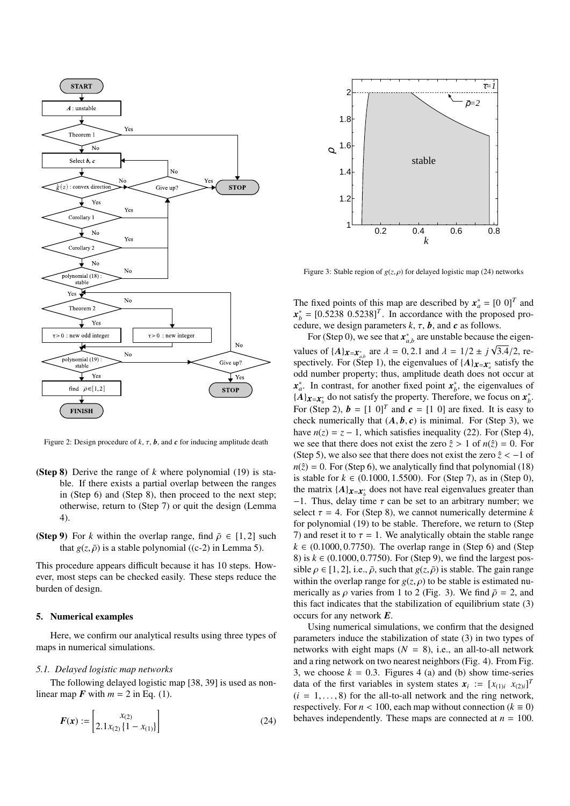

Figure 2: Design procedure of  $k$ ,  $\tau$ ,  $\boldsymbol{b}$ , and  $\boldsymbol{c}$  for inducing amplitude death

- (Step 8) Derive the range of *k* where polynomial (19) is stable. If there exists a partial overlap between the ranges in (Step 6) and (Step 8), then proceed to the next step; otherwise, return to (Step 7) or quit the design (Lemma 4).
- (Step 9) For *k* within the overlap range, find  $\bar{\rho} \in [1, 2]$  such that  $g(z, \bar{\rho})$  is a stable polynomial ((c-2) in Lemma 5).

This procedure appears difficult because it has 10 steps. However, most steps can be checked easily. These steps reduce the burden of design.

## 5. Numerical examples

Here, we confirm our analytical results using three types of maps in numerical simulations.

# *5.1. Delayed logistic map networks*

The following delayed logistic map [38, 39] is used as nonlinear map  $\vec{F}$  with  $m = 2$  in Eq. (1).

$$
F(x) := \begin{bmatrix} x_{(2)} \\ 2.1x_{(2)} \{1 - x_{(1)}\} \end{bmatrix}
$$
 (24)



Figure 3: Stable region of  $g(z, \rho)$  for delayed logistic map (24) networks

The fixed points of this map are described by  $x_a^* = [0 \ 0]^T$  and  $x_b^* = [0.5238 \ 0.5238]^T$ . In accordance with the proposed procedure, we design parameters *k*, τ, *b*, and *c* as follows.

For (Step 0), we see that  $x_{a,b}^*$  are unstable because the eigenvalues of  $\{A\}_{\mathbf{x}=\mathbf{x}_{a,b}^*}$  are  $\lambda = 0, 2.1$  and  $\lambda = 1/2 \pm j\sqrt{3.4}/2$ , respectively. For (Step 1), the eigenvalues of  $\{A\}_{x=x_a^*}$  satisfy the odd number property; thus, amplitude death does not occur at  $x_a^*$ . In contrast, for another fixed point  $x_b^*$ , the eigenvalues of  ${A}$  $\mathbf{x} = \mathbf{x}_b^*$  do not satisfy the property. Therefore, we focus on  $\mathbf{x}_b^*$ . For (Step 2),  $\mathbf{b} = \begin{bmatrix} 1 & 0 \end{bmatrix}^T$  and  $\mathbf{c} = \begin{bmatrix} 1 & 0 \end{bmatrix}$  are fixed. It is easy to check numerically that  $(A, b, c)$  is minimal. For (Step 3), we have  $n(z) = z - 1$ , which satisfies inequality (22). For (Step 4), we see that there does not exist the zero  $\hat{z} > 1$  of  $n(\hat{z}) = 0$ . For (Step 5), we also see that there does not exist the zero  $\hat{z} < -1$  of  $n(\hat{z}) = 0$ . For (Step 6), we analytically find that polynomial (18) is stable for  $k \in (0.1000, 1.5500)$ . For (Step 7), as in (Step 0), the matrix  $\{A\}_{\boldsymbol{x}=\boldsymbol{x}^*_b}$  does not have real eigenvalues greater than  $-1$ . Thus, delay time  $\tau$  can be set to an arbitrary number; we select  $\tau = 4$ . For (Step 8), we cannot numerically determine *k* for polynomial (19) to be stable. Therefore, we return to (Step 7) and reset it to  $\tau = 1$ . We analytically obtain the stable range  $k \in (0.1000, 0.7750)$ . The overlap range in (Step 6) and (Step 8) is  $k \in (0.1000, 0.7750)$ . For (Step 9), we find the largest possible  $\rho \in [1, 2]$ , i.e.,  $\bar{\rho}$ , such that  $g(z, \bar{\rho})$  is stable. The gain range within the overlap range for  $g(z, \rho)$  to be stable is estimated numerically as  $\rho$  varies from 1 to 2 (Fig. 3). We find  $\bar{\rho} = 2$ , and this fact indicates that the stabilization of equilibrium state (3) occurs for any network *E*.

Using numerical simulations, we confirm that the designed parameters induce the stabilization of state (3) in two types of networks with eight maps  $(N = 8)$ , i.e., an all-to-all network and a ring network on two nearest neighbors (Fig. 4). From Fig. 3, we choose  $k = 0.3$ . Figures 4 (a) and (b) show time-series data of the first variables in system states  $x_i := [x_{(1)i} \ x_{(2)i}]^T$  $(i = 1, \ldots, 8)$  for the all-to-all network and the ring network, respectively. For  $n < 100$ , each map without connection ( $k \equiv 0$ ) behaves independently. These maps are connected at  $n = 100$ .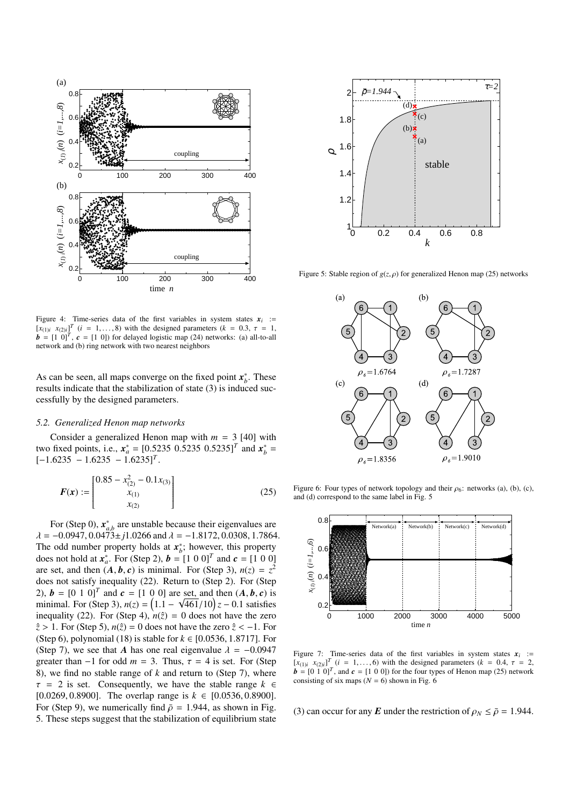

Figure 4: Time-series data of the first variables in system states  $x_i$  :=  $[x_{(1)i}, x_{(2)i}]^T$  (*i* = 1,..., 8) with the designed parameters (*k* = 0.3,  $\tau$  = 1,  $\mathbf{b} = \begin{bmatrix} 1 & 0 \end{bmatrix}^T$ ,  $\mathbf{c} = \begin{bmatrix} 1 & 0 \end{bmatrix}$  for delayed logistic map (24) networks: (a) all-to-all network and (b) ring network with two nearest neighbors

As can be seen, all maps converge on the fixed point  $x_b^*$ . These results indicate that the stabilization of state (3) is induced successfully by the designed parameters.

## *5.2. Generalized Henon map networks*

Consider a generalized Henon map with  $m = 3$  [40] with two fixed points, i.e.,  $x_a^* = [0.5235 \ 0.5235 \ 0.5235]^T$  and  $x_b^* =$  $[-1.6235 - 1.6235 - 1.6235]^T$ .

$$
F(x) := \begin{bmatrix} 0.85 - x_{(2)}^2 - 0.1x_{(3)} \\ x_{(1)} \\ x_{(2)} \end{bmatrix}
$$
 (25)

For (Step 0),  $x_{a,b}^*$  are unstable because their eigenvalues are  $\lambda = -0.0947, 0.0473 \pm j1.0266$  and  $\lambda = -1.8172, 0.0308, 1.7864$ . The odd number property holds at  $x_i^*$ ; however, this property does not hold at  $x_a^*$ . For (Step 2),  $b = [1 \ 0 \ 0]^T$  and  $c = [1 \ 0 \ 0]$ are set, and then  $(A, b, c)$  is minimal. For (Step 3),  $n(z) = z^2$ does not satisfy inequality (22). Return to (Step 2). For (Step 2),  $\mathbf{b} = [0 \ 1 \ 0]^T$  and  $\mathbf{c} = [1 \ 0 \ 0]$  are set, and then  $(A, b, c)$  is minimal. For (Step 3),  $n(z) = (1.1 - \sqrt{461}/10)z - 0.1$  satisfies inequality (22). For (Step 4),  $n(\hat{z}) = 0$  does not have the zero  $\hat{z}$  > 1. For (Step 5),  $n(\hat{z}) = 0$  does not have the zero  $\hat{z}$  < -1. For (Step 6), polynomial (18) is stable for *k* ∈ [0.0536, 1.8717]. For (Step 7), we see that *A* has one real eigenvalue  $\lambda = -0.0947$ greater than  $-1$  for odd  $m = 3$ . Thus,  $\tau = 4$  is set. For (Step 8), we find no stable range of *k* and return to (Step 7), where  $\tau = 2$  is set. Consequently, we have the stable range  $k \in$ [0.0269, 0.8900]. The overlap range is *k* ∈ [0.0536, 0.8900]. For (Step 9), we numerically find  $\bar{\rho} = 1.944$ , as shown in Fig. 5. These steps suggest that the stabilization of equilibrium state



Figure 5: Stable region of  $g(z, \rho)$  for generalized Henon map (25) networks



Figure 6: Four types of network topology and their  $\rho_6$ : networks (a), (b), (c), and (d) correspond to the same label in Fig. 5



Figure 7: Time-series data of the first variables in system states  $x_i$  :=  $[x_{(1)i}, x_{(2)i}]^T$  (*i* = 1,..., 6) with the designed parameters (*k* = 0.4,  $\tau$  = 2,  $\mathbf{b} = \begin{bmatrix} 0 & 1 & 0 \end{bmatrix}^T$ , and  $\mathbf{c} = \begin{bmatrix} 1 & 0 & 0 \end{bmatrix}$  for the four types of Henon map (25) network consisting of six maps ( $N = 6$ ) shown in Fig. 6

(3) can occur for any *E* under the restriction of  $\rho_N \leq \bar{\rho} = 1.944$ .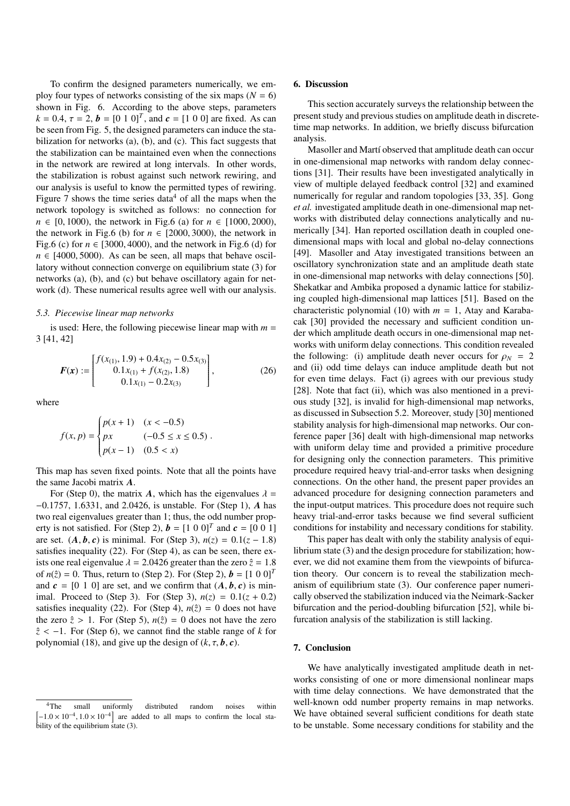To confirm the designed parameters numerically, we employ four types of networks consisting of the six maps  $(N = 6)$ shown in Fig. 6. According to the above steps, parameters  $k = 0.4$ ,  $\tau = 2$ ,  $\mathbf{b} = [0 \ 1 \ 0]^T$ , and  $\mathbf{c} = [1 \ 0 \ 0]$  are fixed. As can be seen from Fig. 5, the designed parameters can induce the stabilization for networks (a), (b), and (c). This fact suggests that the stabilization can be maintained even when the connections in the network are rewired at long intervals. In other words, the stabilization is robust against such network rewiring, and our analysis is useful to know the permitted types of rewiring. Figure 7 shows the time series data<sup>4</sup> of all the maps when the network topology is switched as follows: no connection for *n* ∈ [0, 1000), the network in Fig.6 (a) for *n* ∈ [1000, 2000), the network in Fig.6 (b) for  $n \in [2000, 3000)$ , the network in Fig.6 (c) for  $n \in [3000, 4000)$ , and the network in Fig.6 (d) for  $n \in [4000, 5000)$ . As can be seen, all maps that behave oscillatory without connection converge on equilibrium state (3) for networks (a), (b), and (c) but behave oscillatory again for network (d). These numerical results agree well with our analysis.

#### *5.3. Piecewise linear map networks*

is used: Here, the following piecewise linear map with  $m =$ 3 [41, 42]

$$
\boldsymbol{F}(\boldsymbol{x}) := \begin{bmatrix} f(x_{(1)}, 1.9) + 0.4x_{(2)} - 0.5x_{(3)} \\ 0.1x_{(1)} + f(x_{(2)}, 1.8) \\ 0.1x_{(1)} - 0.2x_{(3)} \end{bmatrix},
$$
(26)

where

$$
f(x, p) = \begin{cases} p(x+1) & (x < -0.5) \\ px & (-0.5 \le x \le 0.5) \\ p(x-1) & (0.5 < x) \end{cases}
$$

This map has seven fixed points. Note that all the points have the same Jacobi matrix *A*.

For (Step 0), the matrix *A*, which has the eigenvalues  $\lambda =$ −0.1757, 1.6331, and 2.0426, is unstable. For (Step 1), *A* has two real eigenvalues greater than 1; thus, the odd number property is not satisfied. For (Step 2),  $\mathbf{b} = [1 \ 0 \ 0]^T$  and  $\mathbf{c} = [0 \ 0 \ 1]$ are set.  $(A, b, c)$  is minimal. For (Step 3),  $n(z) = 0.1(z - 1.8)$ satisfies inequality (22). For (Step 4), as can be seen, there exists one real eigenvalue  $\lambda = 2.0426$  greater than the zero  $\hat{z} = 1.8$ of  $n(\hat{z}) = 0$ . Thus, return to (Step 2). For (Step 2),  $\mathbf{b} = [1 \ 0 \ 0]^T$ and  $c = [0 1 0]$  are set, and we confirm that  $(A, b, c)$  is minimal. Proceed to (Step 3). For (Step 3),  $n(z) = 0.1(z + 0.2)$ satisfies inequality (22). For (Step 4),  $n(\hat{z}) = 0$  does not have the zero  $\hat{z} > 1$ . For (Step 5),  $n(\hat{z}) = 0$  does not have the zero *z*ˆ < −1. For (Step 6), we cannot find the stable range of *k* for polynomial (18), and give up the design of  $(k, \tau, \mathbf{b}, \mathbf{c})$ .

#### 6. Discussion

This section accurately surveys the relationship between the present study and previous studies on amplitude death in discretetime map networks. In addition, we briefly discuss bifurcation analysis.

Masoller and Martí observed that amplitude death can occur in one-dimensional map networks with random delay connections [31]. Their results have been investigated analytically in view of multiple delayed feedback control [32] and examined numerically for regular and random topologies [33, 35]. Gong *et al.* investigated amplitude death in one-dimensional map networks with distributed delay connections analytically and numerically [34]. Han reported oscillation death in coupled onedimensional maps with local and global no-delay connections [49]. Masoller and Atay investigated transitions between an oscillatory synchronization state and an amplitude death state in one-dimensional map networks with delay connections [50]. Shekatkar and Ambika proposed a dynamic lattice for stabilizing coupled high-dimensional map lattices [51]. Based on the characteristic polynomial (10) with  $m = 1$ , Atay and Karabacak [30] provided the necessary and sufficient condition under which amplitude death occurs in one-dimensional map networks with uniform delay connections. This condition revealed the following: (i) amplitude death never occurs for  $\rho_N = 2$ and (ii) odd time delays can induce amplitude death but not for even time delays. Fact (i) agrees with our previous study [28]. Note that fact (ii), which was also mentioned in a previous study [32], is invalid for high-dimensional map networks, as discussed in Subsection 5.2. Moreover, study [30] mentioned stability analysis for high-dimensional map networks. Our conference paper [36] dealt with high-dimensional map networks with uniform delay time and provided a primitive procedure for designing only the connection parameters. This primitive procedure required heavy trial-and-error tasks when designing connections. On the other hand, the present paper provides an advanced procedure for designing connection parameters and the input-output matrices. This procedure does not require such heavy trial-and-error tasks because we find several sufficient conditions for instability and necessary conditions for stability.

This paper has dealt with only the stability analysis of equilibrium state (3) and the design procedure for stabilization; however, we did not examine them from the viewpoints of bifurcation theory. Our concern is to reveal the stabilization mechanism of equilibrium state (3). Our conference paper numerically observed the stabilization induced via the Neimark-Sacker bifurcation and the period-doubling bifurcation [52], while bifurcation analysis of the stabilization is still lacking.

## 7. Conclusion

We have analytically investigated amplitude death in networks consisting of one or more dimensional nonlinear maps with time delay connections. We have demonstrated that the well-known odd number property remains in map networks. We have obtained several sufficient conditions for death state to be unstable. Some necessary conditions for stability and the

<sup>4</sup>The small uniformly distributed random noises within [  $-1.0 \times 10^{-4}$ ,  $1.0 \times 10^{-4}$  are added to all maps to confirm the local stability of the equilibrium state (3).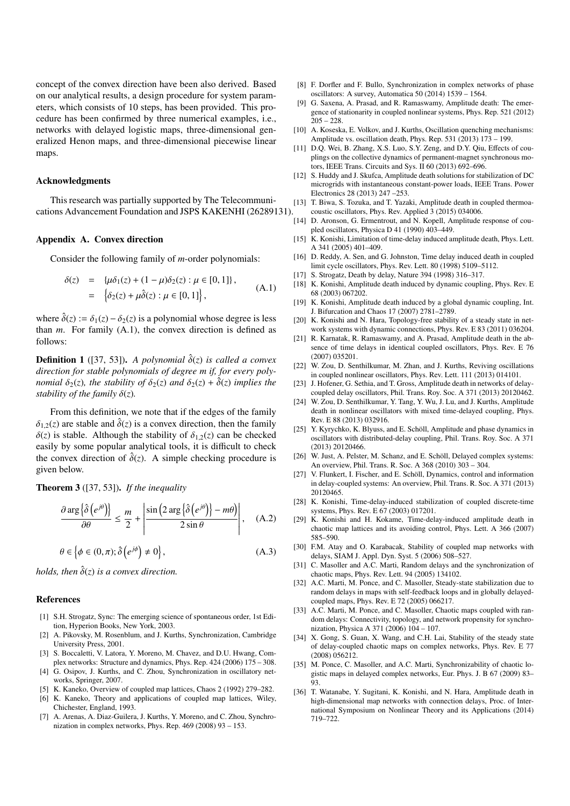concept of the convex direction have been also derived. Based on our analytical results, a design procedure for system parameters, which consists of 10 steps, has been provided. This procedure has been confirmed by three numerical examples, i.e., networks with delayed logistic maps, three-dimensional generalized Henon maps, and three-dimensional piecewise linear maps.

## Acknowledgments

This research was partially supported by The Telecommunications Advancement Foundation and JSPS KAKENHI (26289131).

# Appendix A. Convex direction

Consider the following family of *m*-order polynomials:

$$
\delta(z) = {\mu \delta_1(z) + (1 - \mu) \delta_2(z) : \mu \in [0, 1]},
$$
  
=  $\{\delta_2(z) + \mu \hat{\delta}(z) : \mu \in [0, 1]\},$  (A.1)

where  $\hat{\delta}(z) := \delta_1(z) - \delta_2(z)$  is a polynomial whose degree is less than *m*. For family (A.1), the convex direction is defined as follows:

**Definition 1** ([37, 53]). A polynomial  $\hat{\delta}(z)$  is called a convex *direction for stable polynomials of degree m if, for every polynomial*  $\delta_2(z)$ *, the stability of*  $\delta_2(z)$  *and*  $\delta_2(z) + \hat{\delta}(z)$  *implies the stability of the family*  $\delta(z)$ *.* 

From this definition, we note that if the edges of the family  $\delta_{1,2}(z)$  are stable and  $\delta(z)$  is a convex direction, then the family  $\delta(z)$  is stable. Although the stability of  $\delta_1(z)$  can be checked easily by some popular analytical tools, it is difficult to check the convex direction of  $\hat{\delta}(z)$ . A simple checking procedure is given below.

Theorem 3 ([37, 53]). *If the inequality*

$$
\frac{\partial \arg \left\{ \hat{\delta} \left( e^{j\theta} \right) \right\}}{\partial \theta} \leq \frac{m}{2} + \left| \frac{\sin \left( 2 \arg \left\{ \hat{\delta} \left( e^{j\theta} \right) \right\} - m\theta \right)}{2 \sin \theta} \right|, \quad (A.2)
$$

$$
\theta \in \left\{ \phi \in (0, \pi); \hat{\delta} \left( e^{j\phi} \right) \neq 0 \right\},\tag{A.3}
$$

*holds, then*  $\hat{\delta}(z)$  *is a convex direction.* 

#### References

- [1] S.H. Strogatz, Sync: The emerging science of spontaneous order, 1st Edition, Hyperion Books, New York, 2003.
- [2] A. Pikovsky, M. Rosenblum, and J. Kurths, Synchronization, Cambridge University Press, 2001.
- [3] S. Boccaletti, V. Latora, Y. Moreno, M. Chavez, and D.U. Hwang, Complex networks: Structure and dynamics, Phys. Rep. 424 (2006) 175 – 308.
- [4] G. Osipov, J. Kurths, and C. Zhou, Synchronization in oscillatory networks, Springer, 2007.
- [5] K. Kaneko, Overview of coupled map lattices, Chaos 2 (1992) 279–282.
- [6] K. Kaneko, Theory and applications of coupled map lattices, Wiley, Chichester, England, 1993.
- [7] A. Arenas, A. Diaz-Guilera, J. Kurths, Y. Moreno, and C. Zhou, Synchronization in complex networks, Phys. Rep. 469 (2008) 93 – 153.
- [8] F. Dorfler and F. Bullo, Synchronization in complex networks of phase oscillators: A survey, Automatica 50 (2014) 1539 – 1564.
- [9] G. Saxena, A. Prasad, and R. Ramaswamy, Amplitude death: The emergence of stationarity in coupled nonlinear systems, Phys. Rep. 521 (2012)  $205 - 228$ .
- [10] A. Koseska, E. Volkov, and J. Kurths, Oscillation quenching mechanisms: Amplitude vs. oscillation death, Phys. Rep. 531 (2013) 173 – 199.
- [11] D.Q. Wei, B. Zhang, X.S. Luo, S.Y. Zeng, and D.Y. Qiu, Effects of couplings on the collective dynamics of permanent-magnet synchronous motors, IEEE Trans. Circuits and Sys. II 60 (2013) 692–696.
- [12] S. Huddy and J. Skufca, Amplitude death solutions for stabilization of DC microgrids with instantaneous constant-power loads, IEEE Trans. Power Electronics 28 (2013) 247 –253.
- [13] T. Biwa, S. Tozuka, and T. Yazaki, Amplitude death in coupled thermoacoustic oscillators, Phys. Rev. Applied 3 (2015) 034006.
- [14] D. Aronson, G. Ermentrout, and N. Kopell, Amplitude response of coupled oscillators, Physica D 41 (1990) 403–449.
- [15] K. Konishi, Limitation of time-delay induced amplitude death, Phys. Lett. A 341 (2005) 401–409.
- [16] D. Reddy, A. Sen, and G. Johnston, Time delay induced death in coupled limit cycle oscillators, Phys. Rev. Lett. 80 (1998) 5109–5112.
- [17] S. Strogatz, Death by delay, Nature 394 (1998) 316–317.
- [18] K. Konishi, Amplitude death induced by dynamic coupling, Phys. Rev. E 68 (2003) 067202.
- [19] K. Konishi, Amplitude death induced by a global dynamic coupling, Int. J. Bifurcation and Chaos 17 (2007) 2781–2789.
- [20] K. Konishi and N. Hara, Topology-free stability of a steady state in network systems with dynamic connections, Phys. Rev. E 83 (2011) 036204.
- [21] R. Karnatak, R. Ramaswamy, and A. Prasad, Amplitude death in the absence of time delays in identical coupled oscillators, Phys. Rev. E 76 (2007) 035201.
- [22] W. Zou, D. Senthilkumar, M. Zhan, and J. Kurths, Reviving oscillations in coupled nonlinear oscillators, Phys. Rev. Lett. 111 (2013) 014101.
- [23] J. Hofener, G. Sethia, and T. Gross, Amplitude death in networks of delaycoupled delay oscillators, Phil. Trans. Roy. Soc. A 371 (2013) 20120462.
- [24] W. Zou, D. Senthilkumar, Y. Tang, Y. Wu, J. Lu, and J. Kurths, Amplitude death in nonlinear oscillators with mixed time-delayed coupling, Phys. Rev. E 88 (2013) 032916.
- [25] Y. Kyrychko, K. Blyuss, and E. Schöll, Amplitude and phase dynamics in oscillators with distributed-delay coupling, Phil. Trans. Roy. Soc. A 371 (2013) 20120466.
- [26] W. Just, A. Pelster, M. Schanz, and E. Schöll, Delayed complex systems: An overview, Phil. Trans. R. Soc. A 368 (2010) 303 – 304.
- [27] V. Flunkert, I. Fischer, and E. Schöll, Dynamics, control and information in delay-coupled systems: An overview, Phil. Trans. R. Soc. A 371 (2013) 20120465.
- [28] K. Konishi, Time-delay-induced stabilization of coupled discrete-time systems, Phys. Rev. E 67 (2003) 017201.
- [29] K. Konishi and H. Kokame, Time-delay-induced amplitude death in chaotic map lattices and its avoiding control, Phys. Lett. A 366 (2007) 585–590.
- [30] F.M. Atay and O. Karabacak, Stability of coupled map networks with delays, SIAM J. Appl. Dyn. Syst. 5 (2006) 508–527.
- [31] C. Masoller and A.C. Marti, Random delays and the synchronization of chaotic maps, Phys. Rev. Lett. 94 (2005) 134102.
- [32] A.C. Marti, M. Ponce, and C. Masoller, Steady-state stabilization due to random delays in maps with self-feedback loops and in globally delayedcoupled maps, Phys. Rev. E 72 (2005) 066217.
- [33] A.C. Marti, M. Ponce, and C. Masoller, Chaotic maps coupled with random delays: Connectivity, topology, and network propensity for synchronization, Physica A 371 (2006) 104 – 107.
- [34] X. Gong, S. Guan, X. Wang, and C.H. Lai, Stability of the steady state of delay-coupled chaotic maps on complex networks, Phys. Rev. E 77 (2008) 056212.
- [35] M. Ponce, C. Masoller, and A.C. Marti, Synchronizability of chaotic logistic maps in delayed complex networks, Eur. Phys. J. B 67 (2009) 83– 93.
- [36] T. Watanabe, Y. Sugitani, K. Konishi, and N. Hara, Amplitude death in high-dimensional map networks with connection delays, Proc. of International Symposium on Nonlinear Theory and its Applications (2014) 719–722.